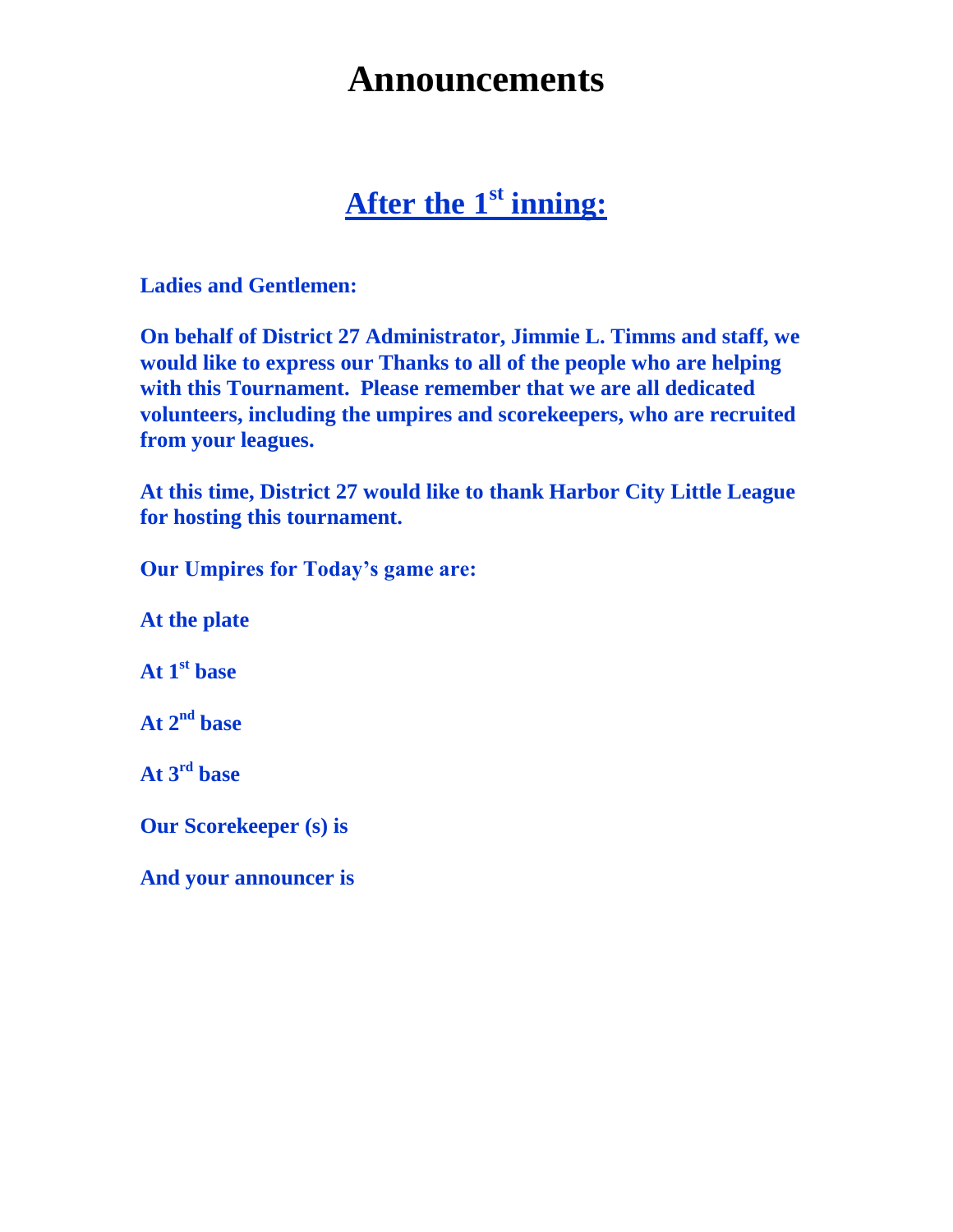# **Announcements**

### **After the 1st inning:**

**Ladies and Gentlemen:**

**On behalf of District 27 Administrator, Jimmie L. Timms and staff, we would like to express our Thanks to all of the people who are helping with this Tournament. Please remember that we are all dedicated volunteers, including the umpires and scorekeepers, who are recruited from your leagues.**

**At this time, District 27 would like to thank Harbor City Little League for hosting this tournament.**

**Our Umpires for Today's game are:**

**At the plate** 

**At 1st base**

**At 2 nd base**

**At 3rd base**

**Our Scorekeeper (s) is** 

**And your announcer is**